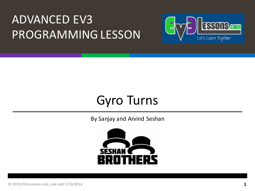#### **ADVANCED EV3** PROGRAMMING LESSON



#### **Gyro Turns**

By Sanjay and Arvind Seshan

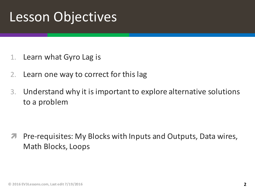#### Lesson Objectives

- 1. Learn what Gyro Lag is
- 2. Learn one way to correct for this lag
- 3. Understand why it is important to explore alternative solutions to a problem

*A* Pre-requisites: My Blocks with Inputs and Outputs, Data wires, Math Blocks, Loops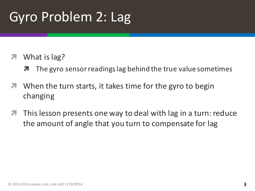# Gyro Problem 2: Lag

#### What is lag?

- **7** The gyro sensor readings lag behind the true value sometimes
- $\blacktriangledown$  When the turn starts, it takes time for the gyro to begin changing
- $\blacktriangledown$  This lesson presents one way to deal with lag in a turn: reduce the amount of angle that you turn to compensate for lag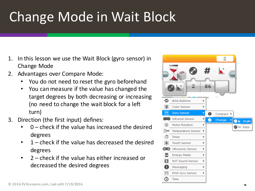# Change Mode in Wait Block

- In this lesson we use the Wait Block (gyro sensor) in Change Mode
- 2. Advantages over Compare Mode:
	- You do not need to reset the gyro beforehand
	- You can measure if the value has changed the target degrees by both decreasing or increasing (no need to change the wait block for a left turn)
- 3. Direction (the first input) defines:
	- $0$  check if the value has increased the desired degrees
	- $\cdot$  1 check if the value has decreased the desired degrees
	- $2$  check if the value has either increased or decreased the desired degrees

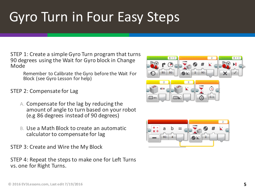# Gyro Turn in Four Easy Steps

STEP 1: Create a simple Gyro Turn program that turns 90 degrees using the Wait for Gyro block in Change Mode

Remember to Calibrate the Gyro before the Wait For Block (see Gyro Lesson for help)

#### STEP 2: Compensate for Lag

- A. Compensate for the lag by reducing the amount of angle to turn based on your robot (e.g 86 degrees instead of 90 degrees)
- B. Use a Math Block to create an automatic calculator to compensate for lag

STEP 3: Create and Wire the My Block

STEP 4: Repeat the steps to make one for Left Turns vs. one for Right Turns.



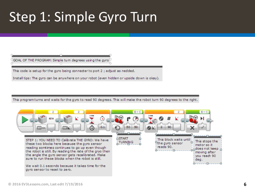## Step 1: Simple Gyro Turn



This code is setup for the gyro being connecter to port 2; adjust as nedded.

Install tips: The gyro can be anywhere on your robot (even hidden or upside down is okay).

This program turns and waits for the gyro to read 90 degrees. This will make the robot turn 90 degrees to the right.

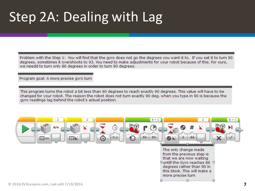### Step 2A: Dealing with Lag

Problem with the Step 1: You will find that the gyro does not go the degrees you want it to. If you set it to turn 90 degrees, sometimes it overshoots to 93. You need to make adjustments for your robot because of this. For ours, we needd to turn only 86 degrees in order to turn 90 degrees.

Program goal: A more precise gyro turn

This program turns the robot a bit less than 90 degrees to reach exactly 90 degrees. This value will have to be changed for your robot. The reason the robot does not turn exactly 90 deg. when you type in 90 is because the gyro readings lag behind the robot's actual position.

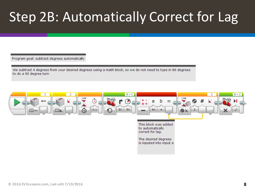### Step 2B: Automatically Correct for Lag

Program goal: subtract degrees automatically

We subtract 4 degrees from your desired degrees using a math block, so we do not need to type in 86 degrees to do a 90 degree turn

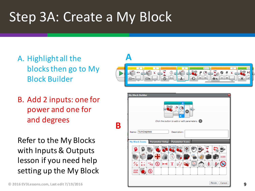#### Step 3A: Create a My Block

- A. Highlight all the blocks then go to My Block Builder
- **A** $\bar{\odot}$
- B. Add 2 inputs: one for power and one for and degrees

Refer to the My Blocks with Inputs & Outputs lesson if you need help setting up the My Block

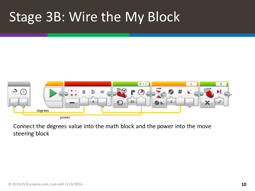#### Stage 3B: Wire the My Block



Connect the degrees value into the math block and the power into the move steering block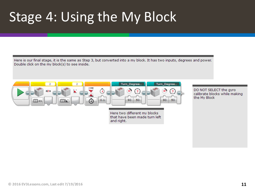### Stage 4: Using the My Block

Here is our final stage, it is the same as Step 3, but converted into a my block. It has two inputs, degrees and power. Double click on the my block(s) to see inside.



Here two different my blocks that have been made turn left. and right.

DO NOT SELECT the gyro calibrate blocks while making the My Block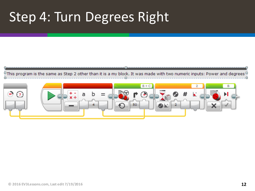#### Step 4: Turn Degrees Right



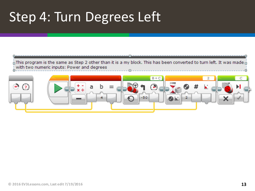#### Step 4: Turn Degrees Left

 $\frac{1}{10}$ This program is the same as Step 2 other than it is a my block. This has been converted to turn left. It was made  $\frac{1}{10}$ with two numeric inputs: Power and degrees

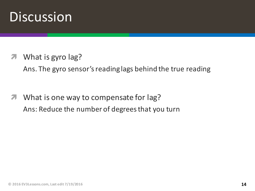#### **Discussion**

What is gyro lag?

Ans. The gyro sensor's reading lags behind the true reading

**7** What is one way to compensate for lag? Ans: Reduce the number of degrees that you turn